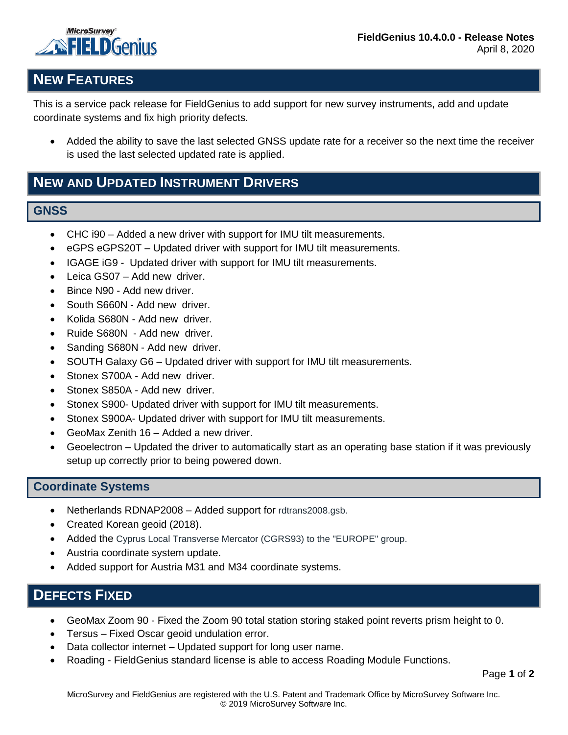

# **NEW FEATURES**

This is a service pack release for FieldGenius to add support for new survey instruments, add and update coordinate systems and fix high priority defects.

 Added the ability to save the last selected GNSS update rate for a receiver so the next time the receiver is used the last selected updated rate is applied.

## **NEW AND UPDATED INSTRUMENT DRIVERS**

#### **GNSS**

- CHC i90 Added a new driver with support for IMU tilt measurements.
- eGPS eGPS20T Updated driver with support for IMU tilt measurements.
- IGAGE iG9 Updated driver with support for IMU tilt measurements.
- Leica GS07 Add new driver.
- Bince N90 Add new driver.
- South S660N Add new driver.
- Kolida S680N Add new driver.
- Ruide S680N Add new driver.
- Sanding S680N Add new driver.
- SOUTH Galaxy G6 Updated driver with support for IMU tilt measurements.
- Stonex S700A Add new driver.
- Stonex S850A Add new driver.
- Stonex S900- Updated driver with support for IMU tilt measurements.
- Stonex S900A- Updated driver with support for IMU tilt measurements.
- GeoMax Zenith 16 Added a new driver.
- Geoelectron Updated the driver to automatically start as an operating base station if it was previously setup up correctly prior to being powered down.

#### **Coordinate Systems**

- Netherlands RDNAP2008 Added support for rdtrans2008.gsb.
- Created Korean geoid (2018).
- Added the Cyprus Local Transverse Mercator (CGRS93) to the "EUROPE" group.
- Austria coordinate system update.
- Added support for Austria M31 and M34 coordinate systems.

### **DEFECTS FIXED**

- GeoMax Zoom 90 Fixed the Zoom 90 total station storing staked point reverts prism height to 0.
- Tersus Fixed Oscar geoid undulation error.
- Data collector internet Updated support for long user name.
- Roading FieldGenius standard license is able to access Roading Module Functions.